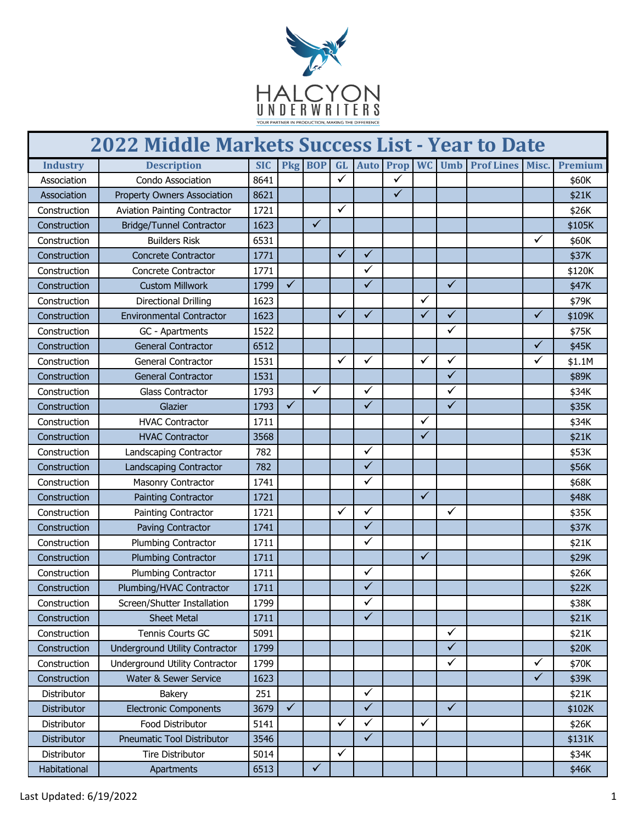

| <b>2022 Middle Markets Success List - Year to Date</b> |                                       |            |              |              |              |              |              |              |              |                                      |              |         |
|--------------------------------------------------------|---------------------------------------|------------|--------------|--------------|--------------|--------------|--------------|--------------|--------------|--------------------------------------|--------------|---------|
| <b>Industry</b>                                        | <b>Description</b>                    | <b>SIC</b> |              | Pkg BOP      |              |              |              |              |              | GL Auto Prop WC Umb Prof Lines Misc. |              | Premium |
| Association                                            | Condo Association                     | 8641       |              |              | $\checkmark$ |              | ✓            |              |              |                                      |              | \$60K   |
| Association                                            | <b>Property Owners Association</b>    | 8621       |              |              |              |              | $\checkmark$ |              |              |                                      |              | \$21K   |
| Construction                                           | <b>Aviation Painting Contractor</b>   | 1721       |              |              | ✓            |              |              |              |              |                                      |              | \$26K   |
| Construction                                           | <b>Bridge/Tunnel Contractor</b>       | 1623       |              | $\checkmark$ |              |              |              |              |              |                                      |              | \$105K  |
| Construction                                           | <b>Builders Risk</b>                  | 6531       |              |              |              |              |              |              |              |                                      | ✓            | \$60K   |
| Construction                                           | <b>Concrete Contractor</b>            | 1771       |              |              | $\checkmark$ | $\checkmark$ |              |              |              |                                      |              | \$37K   |
| Construction                                           | Concrete Contractor                   | 1771       |              |              |              | ✓            |              |              |              |                                      |              | \$120K  |
| Construction                                           | <b>Custom Millwork</b>                | 1799       | $\checkmark$ |              |              | $\checkmark$ |              |              | $\checkmark$ |                                      |              | \$47K   |
| Construction                                           | <b>Directional Drilling</b>           | 1623       |              |              |              |              |              | $\checkmark$ |              |                                      |              | \$79K   |
| Construction                                           | <b>Environmental Contractor</b>       | 1623       |              |              | $\checkmark$ | $\checkmark$ |              | $\checkmark$ | ✓            |                                      | ✓            | \$109K  |
| Construction                                           | GC - Apartments                       | 1522       |              |              |              |              |              |              | ✓            |                                      |              | \$75K   |
| Construction                                           | <b>General Contractor</b>             | 6512       |              |              |              |              |              |              |              |                                      | $\checkmark$ | \$45K   |
| Construction                                           | <b>General Contractor</b>             | 1531       |              |              | $\checkmark$ | $\checkmark$ |              | ✓            | ✓            |                                      | ✓            | \$1.1M  |
| Construction                                           | <b>General Contractor</b>             | 1531       |              |              |              |              |              |              | $\checkmark$ |                                      |              | \$89K   |
| Construction                                           | <b>Glass Contractor</b>               | 1793       |              | ✓            |              | ✓            |              |              | ✓            |                                      |              | \$34K   |
| Construction                                           | Glazier                               | 1793       | $\checkmark$ |              |              | $\checkmark$ |              |              | $\checkmark$ |                                      |              | \$35K   |
| Construction                                           | <b>HVAC Contractor</b>                | 1711       |              |              |              |              |              | ✓            |              |                                      |              | \$34K   |
| Construction                                           | <b>HVAC Contractor</b>                | 3568       |              |              |              |              |              | $\checkmark$ |              |                                      |              | \$21K   |
| Construction                                           | Landscaping Contractor                | 782        |              |              |              | ✓            |              |              |              |                                      |              | \$53K   |
| Construction                                           | Landscaping Contractor                | 782        |              |              |              | $\checkmark$ |              |              |              |                                      |              | \$56K   |
| Construction                                           | Masonry Contractor                    | 1741       |              |              |              | $\checkmark$ |              |              |              |                                      |              | \$68K   |
| Construction                                           | <b>Painting Contractor</b>            | 1721       |              |              |              |              |              | $\checkmark$ |              |                                      |              | \$48K   |
| Construction                                           | Painting Contractor                   | 1721       |              |              | ✓            | ✓            |              |              | ✓            |                                      |              | \$35K   |
| Construction                                           | Paving Contractor                     | 1741       |              |              |              | $\checkmark$ |              |              |              |                                      |              | \$37K   |
| Construction                                           | Plumbing Contractor                   | 1711       |              |              |              | $\checkmark$ |              |              |              |                                      |              | \$21K   |
| Construction                                           | <b>Plumbing Contractor</b>            | 1711       |              |              |              |              |              | $\checkmark$ |              |                                      |              | \$29K   |
| Construction                                           | Plumbing Contractor                   | 1711       |              |              |              | ✓            |              |              |              |                                      |              | \$26K   |
| Construction                                           | Plumbing/HVAC Contractor              | 1711       |              |              |              | $\checkmark$ |              |              |              |                                      |              | \$22K   |
| Construction                                           | Screen/Shutter Installation           | 1799       |              |              |              | ✓            |              |              |              |                                      |              | \$38K   |
| Construction                                           | <b>Sheet Metal</b>                    | 1711       |              |              |              | $\checkmark$ |              |              |              |                                      |              | \$21K   |
| Construction                                           | Tennis Courts GC                      | 5091       |              |              |              |              |              |              | $\checkmark$ |                                      |              | \$21K   |
| Construction                                           | <b>Underground Utility Contractor</b> | 1799       |              |              |              |              |              |              | $\checkmark$ |                                      |              | \$20K   |
| Construction                                           | <b>Underground Utility Contractor</b> | 1799       |              |              |              |              |              |              | $\checkmark$ |                                      | $\checkmark$ | \$70K   |
| Construction                                           | Water & Sewer Service                 | 1623       |              |              |              |              |              |              |              |                                      | $\checkmark$ | \$39K   |
| Distributor                                            | Bakery                                | 251        |              |              |              | $\checkmark$ |              |              |              |                                      |              | \$21K   |
| Distributor                                            | <b>Electronic Components</b>          | 3679       | $\checkmark$ |              |              | $\checkmark$ |              |              | $\checkmark$ |                                      |              | \$102K  |
| Distributor                                            | Food Distributor                      | 5141       |              |              | $\checkmark$ | $\checkmark$ |              | $\checkmark$ |              |                                      |              | \$26K   |
| Distributor                                            | Pneumatic Tool Distributor            | 3546       |              |              |              | $\checkmark$ |              |              |              |                                      |              | \$131K  |
| Distributor                                            | <b>Tire Distributor</b>               | 5014       |              |              | ✓            |              |              |              |              |                                      |              | \$34K   |
| Habitational                                           | Apartments                            | 6513       |              | $\checkmark$ |              |              |              |              |              |                                      |              | \$46K   |